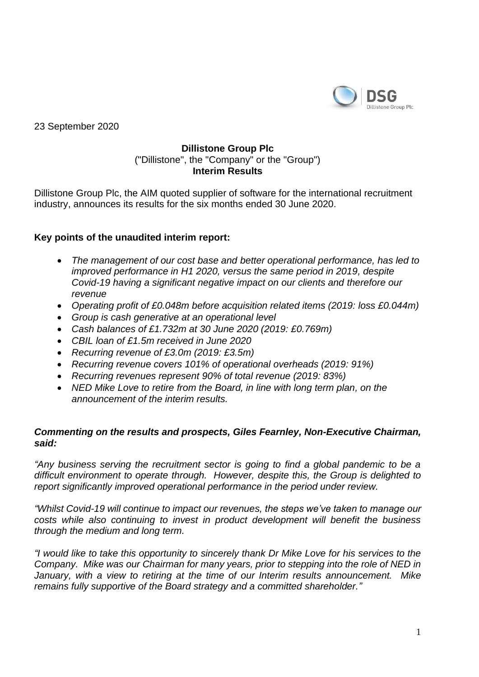

23 September 2020

## **Dillistone Group Plc** ("Dillistone", the "Company" or the "Group") **Interim Results**

Dillistone Group Plc, the AIM quoted supplier of software for the international recruitment industry, announces its results for the six months ended 30 June 2020.

# **Key points of the unaudited interim report:**

- *The management of our cost base and better operational performance, has led to improved performance in H1 2020, versus the same period in 2019, despite Covid-19 having a significant negative impact on our clients and therefore our revenue*
- *Operating profit of £0.048m before acquisition related items (2019: loss £0.044m)*
- *Group is cash generative at an operational level*
- *Cash balances of £1.732m at 30 June 2020 (2019: £0.769m)*
- *CBIL loan of £1.5m received in June 2020*
- *Recurring revenue of £3.0m (2019: £3.5m)*
- *Recurring revenue covers 101% of operational overheads (2019: 91%)*
- *Recurring revenues represent 90% of total revenue (2019: 83%)*
- *NED Mike Love to retire from the Board, in line with long term plan, on the announcement of the interim results.*

## *Commenting on the results and prospects, Giles Fearnley, Non-Executive Chairman, said:*

*"Any business serving the recruitment sector is going to find a global pandemic to be a difficult environment to operate through. However, despite this, the Group is delighted to report significantly improved operational performance in the period under review.*

*"Whilst Covid-19 will continue to impact our revenues, the steps we've taken to manage our costs while also continuing to invest in product development will benefit the business through the medium and long term.*

*"I would like to take this opportunity to sincerely thank Dr Mike Love for his services to the Company. Mike was our Chairman for many years, prior to stepping into the role of NED in January, with a view to retiring at the time of our Interim results announcement. Mike remains fully supportive of the Board strategy and a committed shareholder."*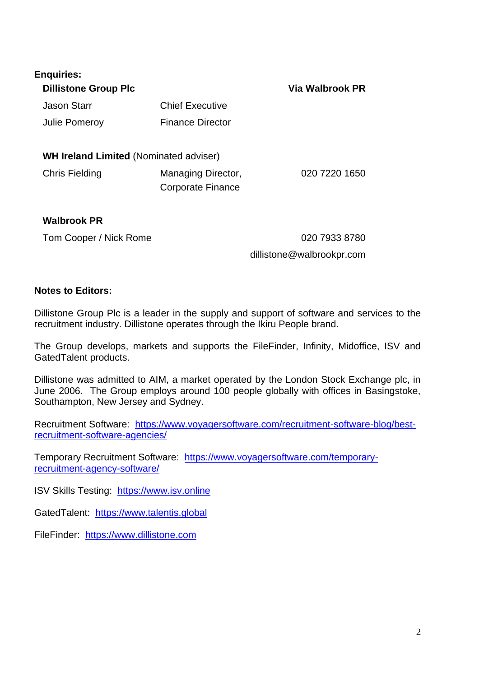| <b>Enquiries:</b><br><b>Dillistone Group Plc</b> |                                         | Via Walbrook PR |
|--------------------------------------------------|-----------------------------------------|-----------------|
| <b>Jason Starr</b>                               | <b>Chief Executive</b>                  |                 |
| Julie Pomeroy                                    | <b>Finance Director</b>                 |                 |
| <b>WH Ireland Limited (Nominated adviser)</b>    |                                         |                 |
| <b>Chris Fielding</b>                            | Managing Director,<br>Corporate Finance | 020 7220 1650   |
| <b>Walbrook PR</b>                               |                                         |                 |

Tom Cooper / Nick Rome 020 7933 8780

## dillistone@walbrookpr.com

## **Notes to Editors:**

Dillistone Group Plc is a leader in the supply and support of software and services to the recruitment industry. Dillistone operates through the Ikiru People brand.

The Group develops, markets and supports the FileFinder, Infinity, Midoffice, ISV and GatedTalent products.

Dillistone was admitted to AIM, a market operated by the London Stock Exchange plc, in June 2006. The Group employs around 100 people globally with offices in Basingstoke, Southampton, New Jersey and Sydney.

Recruitment Software: [https://www.voyagersoftware.com/recruitment-software-blog/best](https://urldefense.proofpoint.com/v2/url?u=https-3A__www.voyagersoftware.com_recruitment-2Dsoftware-2Dblog_best-2Drecruitment-2Dsoftware-2Dagencies_&d=DwMFaQ&c=euGZstcaTDllvimEN8b7jXrwqOf-v5A_CdpgnVfiiMM&r=UaF0oZ9xua3bxt7-qBJmFyWg40beWH-V2feCCnwE-TE&m=fs8hRYbFiGxsDS8NcXzm3WLLfcectQ8xaxXgB42Ih0I&s=qWu6xe_SvDGZ38jXqFcJ4FTW0NC1p6EnDGdVX8wWMhI&e=)[recruitment-software-agencies/](https://urldefense.proofpoint.com/v2/url?u=https-3A__www.voyagersoftware.com_recruitment-2Dsoftware-2Dblog_best-2Drecruitment-2Dsoftware-2Dagencies_&d=DwMFaQ&c=euGZstcaTDllvimEN8b7jXrwqOf-v5A_CdpgnVfiiMM&r=UaF0oZ9xua3bxt7-qBJmFyWg40beWH-V2feCCnwE-TE&m=fs8hRYbFiGxsDS8NcXzm3WLLfcectQ8xaxXgB42Ih0I&s=qWu6xe_SvDGZ38jXqFcJ4FTW0NC1p6EnDGdVX8wWMhI&e=)

Temporary Recruitment Software: [https://www.voyagersoftware.com/temporary](https://urldefense.proofpoint.com/v2/url?u=https-3A__www.voyagersoftware.com_temporary-2Drecruitment-2Dagency-2Dsoftware_&d=DwMFaQ&c=euGZstcaTDllvimEN8b7jXrwqOf-v5A_CdpgnVfiiMM&r=UaF0oZ9xua3bxt7-qBJmFyWg40beWH-V2feCCnwE-TE&m=fs8hRYbFiGxsDS8NcXzm3WLLfcectQ8xaxXgB42Ih0I&s=MfHLxPvo4wFhY6IBx0iuGGeUYiT2fFmrWYImPqCOrQ8&e=)[recruitment-agency-software/](https://urldefense.proofpoint.com/v2/url?u=https-3A__www.voyagersoftware.com_temporary-2Drecruitment-2Dagency-2Dsoftware_&d=DwMFaQ&c=euGZstcaTDllvimEN8b7jXrwqOf-v5A_CdpgnVfiiMM&r=UaF0oZ9xua3bxt7-qBJmFyWg40beWH-V2feCCnwE-TE&m=fs8hRYbFiGxsDS8NcXzm3WLLfcectQ8xaxXgB42Ih0I&s=MfHLxPvo4wFhY6IBx0iuGGeUYiT2fFmrWYImPqCOrQ8&e=)

ISV Skills Testing: [https://www.isv.online](https://urldefense.proofpoint.com/v2/url?u=https-3A__www.isv.online&d=DwMFaQ&c=euGZstcaTDllvimEN8b7jXrwqOf-v5A_CdpgnVfiiMM&r=UaF0oZ9xua3bxt7-qBJmFyWg40beWH-V2feCCnwE-TE&m=fs8hRYbFiGxsDS8NcXzm3WLLfcectQ8xaxXgB42Ih0I&s=DswlLB47OEJiosZ4M6g403LYfIq6mCAEyZBe4chab2Q&e=)

GatedTalent: [https://www.talentis.global](https://urldefense.proofpoint.com/v2/url?u=https-3A__www.talentis.global&d=DwMFaQ&c=euGZstcaTDllvimEN8b7jXrwqOf-v5A_CdpgnVfiiMM&r=UaF0oZ9xua3bxt7-qBJmFyWg40beWH-V2feCCnwE-TE&m=fs8hRYbFiGxsDS8NcXzm3WLLfcectQ8xaxXgB42Ih0I&s=Knjsj1lG6gDR1YK0jX3EXKMTgQ-p6RN1fgj644FaF-s&e=)

FileFinder: [https://www.dillistone.com](https://www.dillistone.com/)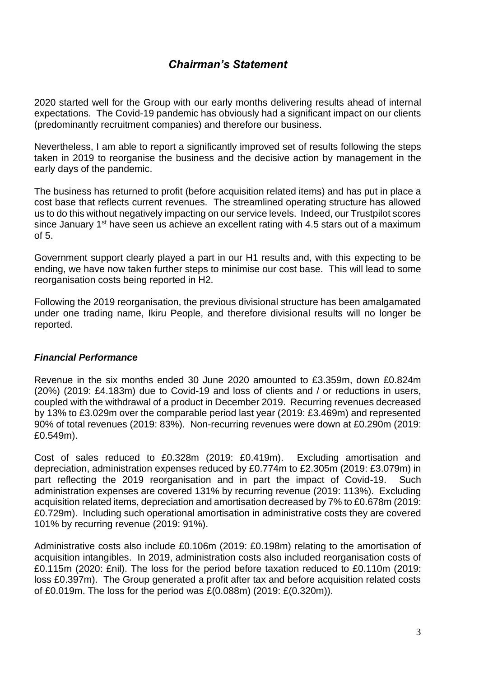# *Chairman's Statement*

2020 started well for the Group with our early months delivering results ahead of internal expectations. The Covid-19 pandemic has obviously had a significant impact on our clients (predominantly recruitment companies) and therefore our business.

Nevertheless, I am able to report a significantly improved set of results following the steps taken in 2019 to reorganise the business and the decisive action by management in the early days of the pandemic.

The business has returned to profit (before acquisition related items) and has put in place a cost base that reflects current revenues. The streamlined operating structure has allowed us to do this without negatively impacting on our service levels. Indeed, our Trustpilot scores since January 1<sup>st</sup> have seen us achieve an excellent rating with 4.5 stars out of a maximum  $of 5$ 

Government support clearly played a part in our H1 results and, with this expecting to be ending, we have now taken further steps to minimise our cost base. This will lead to some reorganisation costs being reported in H2.

Following the 2019 reorganisation, the previous divisional structure has been amalgamated under one trading name, Ikiru People, and therefore divisional results will no longer be reported.

# *Financial Performance*

Revenue in the six months ended 30 June 2020 amounted to £3.359m, down £0.824m (20%) (2019: £4.183m) due to Covid-19 and loss of clients and / or reductions in users, coupled with the withdrawal of a product in December 2019. Recurring revenues decreased by 13% to £3.029m over the comparable period last year (2019: £3.469m) and represented 90% of total revenues (2019: 83%). Non-recurring revenues were down at £0.290m (2019: £0.549m).

Cost of sales reduced to £0.328m (2019: £0.419m). Excluding amortisation and depreciation, administration expenses reduced by £0.774m to £2.305m (2019: £3.079m) in part reflecting the 2019 reorganisation and in part the impact of Covid-19. Such administration expenses are covered 131% by recurring revenue (2019: 113%). Excluding acquisition related items, depreciation and amortisation decreased by 7% to £0.678m (2019: £0.729m). Including such operational amortisation in administrative costs they are covered 101% by recurring revenue (2019: 91%).

Administrative costs also include £0.106m (2019: £0.198m) relating to the amortisation of acquisition intangibles. In 2019, administration costs also included reorganisation costs of £0.115m (2020: £nil). The loss for the period before taxation reduced to £0.110m (2019: loss £0.397m). The Group generated a profit after tax and before acquisition related costs of £0.019m. The loss for the period was £(0.088m) (2019: £(0.320m)).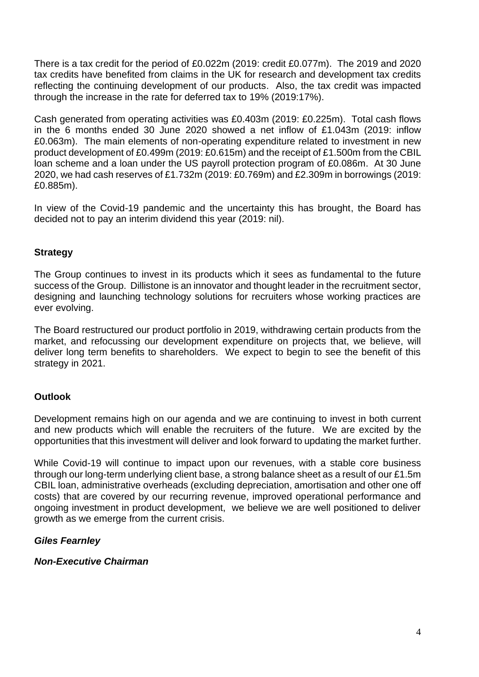There is a tax credit for the period of £0.022m (2019: credit £0.077m). The 2019 and 2020 tax credits have benefited from claims in the UK for research and development tax credits reflecting the continuing development of our products. Also, the tax credit was impacted through the increase in the rate for deferred tax to 19% (2019:17%).

Cash generated from operating activities was £0.403m (2019: £0.225m). Total cash flows in the 6 months ended 30 June 2020 showed a net inflow of £1.043m (2019: inflow £0.063m). The main elements of non-operating expenditure related to investment in new product development of £0.499m (2019: £0.615m) and the receipt of £1.500m from the CBIL loan scheme and a loan under the US payroll protection program of £0.086m. At 30 June 2020, we had cash reserves of £1.732m (2019: £0.769m) and £2.309m in borrowings (2019: £0.885m).

In view of the Covid-19 pandemic and the uncertainty this has brought, the Board has decided not to pay an interim dividend this year (2019: nil).

# **Strategy**

The Group continues to invest in its products which it sees as fundamental to the future success of the Group. Dillistone is an innovator and thought leader in the recruitment sector, designing and launching technology solutions for recruiters whose working practices are ever evolving.

The Board restructured our product portfolio in 2019, withdrawing certain products from the market, and refocussing our development expenditure on projects that, we believe, will deliver long term benefits to shareholders. We expect to begin to see the benefit of this strategy in 2021.

# **Outlook**

Development remains high on our agenda and we are continuing to invest in both current and new products which will enable the recruiters of the future. We are excited by the opportunities that this investment will deliver and look forward to updating the market further.

While Covid-19 will continue to impact upon our revenues, with a stable core business through our long-term underlying client base, a strong balance sheet as a result of our £1.5m CBIL loan, administrative overheads (excluding depreciation, amortisation and other one off costs) that are covered by our recurring revenue, improved operational performance and ongoing investment in product development, we believe we are well positioned to deliver growth as we emerge from the current crisis.

# *Giles Fearnley*

*Non-Executive Chairman*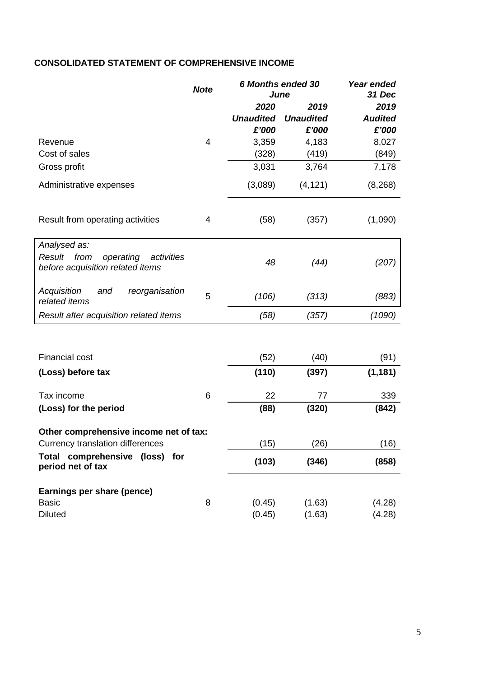# **CONSOLIDATED STATEMENT OF COMPREHENSIVE INCOME**

|                                                                               | <b>Note</b> | <b>6 Months ended 30</b><br>June | Year ended<br>31 Dec |                |
|-------------------------------------------------------------------------------|-------------|----------------------------------|----------------------|----------------|
|                                                                               |             | 2020                             | 2019                 | 2019           |
|                                                                               |             | <b>Unaudited</b>                 | <b>Unaudited</b>     | <b>Audited</b> |
|                                                                               |             | £'000                            | £'000                | £'000          |
| Revenue                                                                       | 4           | 3,359                            | 4,183                | 8,027          |
| Cost of sales                                                                 |             | (328)                            | (419)                | (849)          |
| Gross profit                                                                  |             | 3,031                            | 3,764                | 7,178          |
| Administrative expenses                                                       |             | (3,089)                          | (4, 121)             | (8, 268)       |
| Result from operating activities                                              | 4           | (58)                             | (357)                | (1,090)        |
| Analysed as:                                                                  |             |                                  |                      |                |
| Result<br>from<br>operating<br>activities<br>before acquisition related items |             | 48                               | (44)                 | (207)          |
| Acquisition<br>and<br>reorganisation<br>related items                         | 5           | (106)                            | (313)                | (883)          |
| Result after acquisition related items                                        |             | (58)                             | (357)                | (1090)         |
|                                                                               |             |                                  |                      |                |
| <b>Financial cost</b>                                                         |             | (52)                             | (40)                 | (91)           |
| (Loss) before tax                                                             |             | (110)                            | (397)                | (1, 181)       |
| Tax income                                                                    | 6           | 22                               | 77                   | 339            |
| (Loss) for the period                                                         |             | (88)                             | (320)                | (842)          |
| Other comprehensive income net of tax:                                        |             |                                  |                      |                |
| Currency translation differences                                              |             | (15)                             | (26)                 | (16)           |
| Total comprehensive (loss) for<br>period net of tax                           |             | (103)                            | (346)                | (858)          |
| Earnings per share (pence)                                                    |             |                                  |                      |                |
| <b>Basic</b>                                                                  | 8           | (0.45)                           | (1.63)               | (4.28)         |
| <b>Diluted</b>                                                                |             | (0.45)                           | (1.63)               | (4.28)         |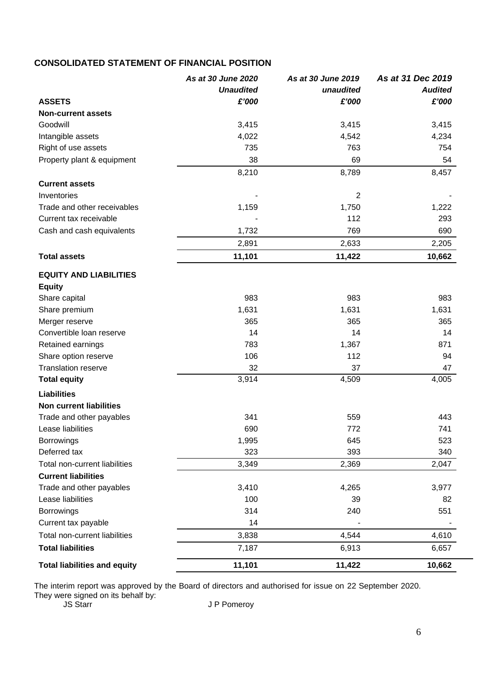# **CONSOLIDATED STATEMENT OF FINANCIAL POSITION**

|                                     | As at 30 June 2020 | As at 30 June 2019 | As at 31 Dec 2019 |
|-------------------------------------|--------------------|--------------------|-------------------|
|                                     | <b>Unaudited</b>   | unaudited          | <b>Audited</b>    |
| <b>ASSETS</b>                       | £'000              | £'000              | £'000             |
| <b>Non-current assets</b>           |                    |                    |                   |
| Goodwill                            | 3,415              | 3,415              | 3,415             |
| Intangible assets                   | 4,022              | 4,542              | 4,234             |
| Right of use assets                 | 735                | 763                | 754               |
| Property plant & equipment          | 38                 | 69                 | 54                |
|                                     | 8,210              | 8,789              | 8,457             |
| <b>Current assets</b>               |                    |                    |                   |
| Inventories                         |                    | $\overline{2}$     |                   |
| Trade and other receivables         | 1,159              | 1,750              | 1,222             |
| Current tax receivable              |                    | 112                | 293               |
| Cash and cash equivalents           | 1,732              | 769                | 690               |
|                                     | 2,891              | 2,633              | 2,205             |
| <b>Total assets</b>                 | 11,101             | 11,422             | 10,662            |
| <b>EQUITY AND LIABILITIES</b>       |                    |                    |                   |
| <b>Equity</b>                       |                    |                    |                   |
| Share capital                       | 983                | 983                | 983               |
| Share premium                       | 1,631              | 1,631              | 1,631             |
| Merger reserve                      | 365                | 365                | 365               |
| Convertible loan reserve            | 14                 | 14                 | 14                |
| Retained earnings                   | 783                | 1,367              | 871               |
| Share option reserve                | 106                | 112                | 94                |
| <b>Translation reserve</b>          | 32                 | 37                 | 47                |
| <b>Total equity</b>                 | 3,914              | 4,509              | 4,005             |
| <b>Liabilities</b>                  |                    |                    |                   |
| <b>Non current liabilities</b>      |                    |                    |                   |
| Trade and other payables            | 341                | 559                | 443               |
| Lease liabilities                   | 690                | 772                | 741               |
| Borrowings                          | 1,995              | 645                | 523               |
| Deferred tax                        | 323                | 393                | 340               |
| Total non-current liabilities       | 3,349              | 2,369              | 2,047             |
| <b>Current liabilities</b>          |                    |                    |                   |
| Trade and other payables            | 3,410              | 4,265              | 3,977             |
| Lease liabilities                   | 100                | 39                 | 82                |
| <b>Borrowings</b>                   | 314                | 240                | 551               |
| Current tax payable                 | 14                 |                    |                   |
| Total non-current liabilities       | 3,838              | 4,544              | 4,610             |
| <b>Total liabilities</b>            | 7,187              | 6,913              | 6,657             |
| <b>Total liabilities and equity</b> | 11,101             | 11,422             | 10,662            |

The interim report was approved by the Board of directors and authorised for issue on 22 September 2020. They were signed on its behalf by:

JS Starr German Company JP Pomeroy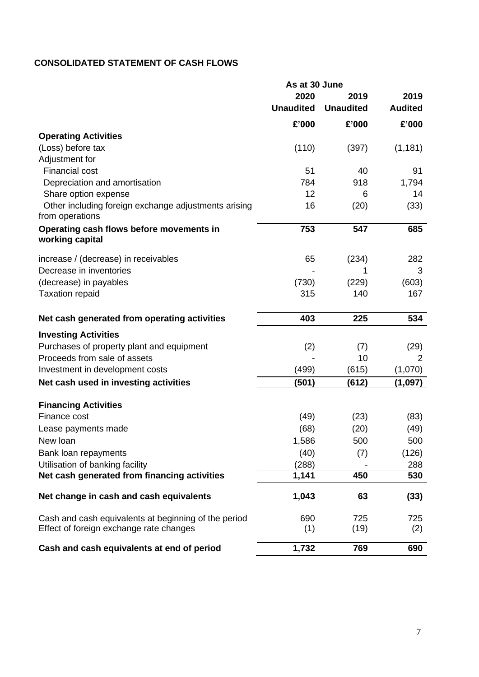# **CONSOLIDATED STATEMENT OF CASH FLOWS**

|                                                                         | As at 30 June    |                  |                |
|-------------------------------------------------------------------------|------------------|------------------|----------------|
|                                                                         | 2020             | 2019             | 2019           |
|                                                                         | <b>Unaudited</b> | <b>Unaudited</b> | <b>Audited</b> |
|                                                                         | £'000            | £'000            | £'000          |
| <b>Operating Activities</b>                                             |                  |                  |                |
| (Loss) before tax                                                       | (110)            | (397)            | (1, 181)       |
| Adjustment for                                                          |                  |                  |                |
| <b>Financial cost</b>                                                   | 51               | 40               | 91             |
| Depreciation and amortisation                                           | 784              | 918              | 1,794          |
| Share option expense                                                    | 12               | 6                | 14             |
| Other including foreign exchange adjustments arising<br>from operations | 16               | (20)             | (33)           |
| Operating cash flows before movements in<br>working capital             | 753              | 547              | 685            |
| increase / (decrease) in receivables                                    | 65               | (234)            | 282            |
| Decrease in inventories                                                 |                  |                  | 3              |
| (decrease) in payables                                                  | (730)            | (229)            | (603)          |
| <b>Taxation repaid</b>                                                  | 315              | 140              | 167            |
| Net cash generated from operating activities                            | 403              | 225              | 534            |
| <b>Investing Activities</b>                                             |                  |                  |                |
| Purchases of property plant and equipment                               | (2)              | (7)              | (29)           |
| Proceeds from sale of assets                                            |                  | 10               | 2              |
| Investment in development costs                                         | (499)            | (615)            | (1,070)        |
| Net cash used in investing activities                                   | (501)            | (612)            | (1,097)        |
| <b>Financing Activities</b>                                             |                  |                  |                |
| Finance cost                                                            | (49)             | (23)             | (83)           |
| Lease payments made                                                     | (68)             | (20)             | (49)           |
| New loan                                                                | 1,586            | 500              | 500            |
| Bank loan repayments                                                    | (40)             | (7)              | (126)          |
| Utilisation of banking facility                                         | (288)            |                  | 288            |
| Net cash generated from financing activities                            | 1,141            | 450              | 530            |
| Net change in cash and cash equivalents                                 | 1,043            | 63               | (33)           |
| Cash and cash equivalents at beginning of the period                    | 690              | 725              | 725            |
| Effect of foreign exchange rate changes                                 | (1)              | (19)             | (2)            |
| Cash and cash equivalents at end of period                              | 1,732            | 769              | 690            |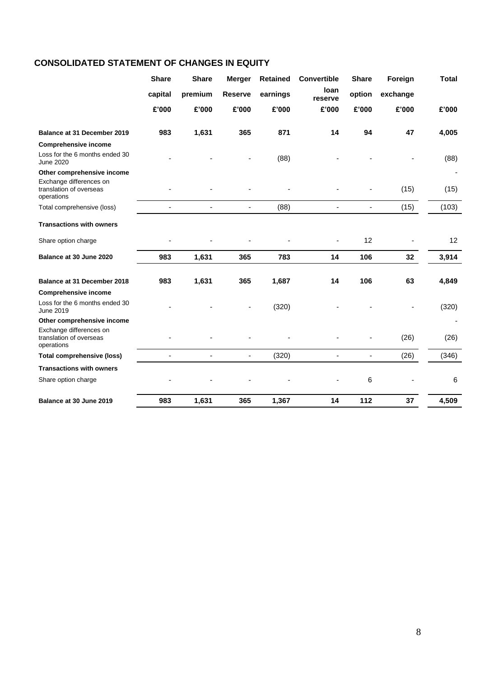# **CONSOLIDATED STATEMENT OF CHANGES IN EQUITY**

|                                                                                   | <b>Share</b> | <b>Share</b>             | <b>Merger</b>            | <b>Retained</b> | <b>Convertible</b> | <b>Share</b>             | Foreign  | <b>Total</b> |
|-----------------------------------------------------------------------------------|--------------|--------------------------|--------------------------|-----------------|--------------------|--------------------------|----------|--------------|
|                                                                                   | capital      | premium                  | <b>Reserve</b>           | earnings        | loan<br>reserve    | option                   | exchange |              |
|                                                                                   | £'000        | £'000                    | £'000                    | £'000           | £'000              | £'000                    | £'000    | £'000        |
| Balance at 31 December 2019                                                       | 983          | 1,631                    | 365                      | 871             | 14                 | 94                       | 47       | 4,005        |
| <b>Comprehensive income</b>                                                       |              |                          |                          |                 |                    |                          |          |              |
| Loss for the 6 months ended 30<br><b>June 2020</b>                                |              |                          |                          | (88)            |                    |                          |          | (88)         |
| Other comprehensive income                                                        |              |                          |                          |                 |                    |                          |          |              |
| Exchange differences on<br>translation of overseas<br>operations                  |              |                          |                          |                 |                    |                          | (15)     | (15)         |
| Total comprehensive (loss)                                                        |              | ä,                       | $\overline{a}$           | (88)            | $\blacksquare$     | $\blacksquare$           | (15)     | (103)        |
| <b>Transactions with owners</b>                                                   |              |                          |                          |                 |                    |                          |          |              |
| Share option charge                                                               |              |                          |                          |                 |                    | 12                       |          | 12           |
| Balance at 30 June 2020                                                           | 983          | 1,631                    | 365                      | 783             | 14                 | 106                      | 32       | 3,914        |
| Balance at 31 December 2018                                                       | 983          | 1,631                    | 365                      | 1,687           | 14                 | 106                      | 63       | 4,849        |
|                                                                                   |              |                          |                          |                 |                    |                          |          |              |
| <b>Comprehensive income</b><br>Loss for the 6 months ended 30<br><b>June 2019</b> |              |                          |                          | (320)           |                    |                          |          | (320)        |
| Other comprehensive income                                                        |              |                          |                          |                 |                    |                          |          |              |
| Exchange differences on<br>translation of overseas<br>operations                  |              |                          |                          |                 |                    |                          | (26)     | (26)         |
| <b>Total comprehensive (loss)</b>                                                 |              | $\overline{\phantom{a}}$ | $\overline{\phantom{a}}$ | (320)           | -                  | $\overline{\phantom{0}}$ | (26)     | (346)        |
| <b>Transactions with owners</b>                                                   |              |                          |                          |                 |                    |                          |          |              |
| Share option charge                                                               |              |                          |                          |                 |                    | 6                        |          | 6            |
| Balance at 30 June 2019                                                           | 983          | 1,631                    | 365                      | 1,367           | 14                 | 112                      | 37       | 4,509        |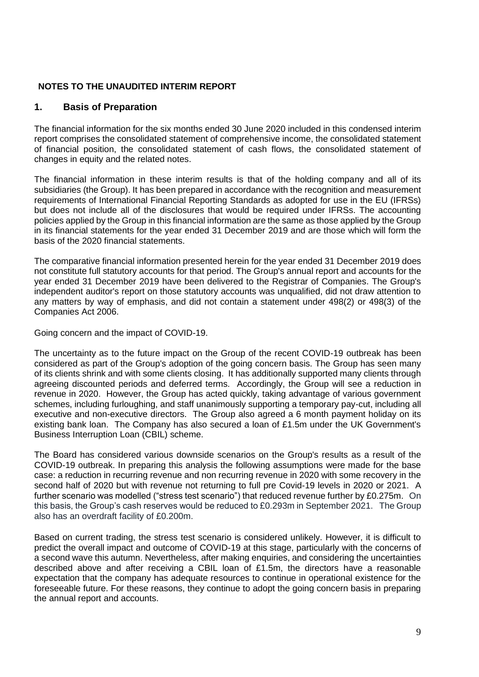#### **NOTES TO THE UNAUDITED INTERIM REPORT**

#### **1. Basis of Preparation**

The financial information for the six months ended 30 June 2020 included in this condensed interim report comprises the consolidated statement of comprehensive income, the consolidated statement of financial position, the consolidated statement of cash flows, the consolidated statement of changes in equity and the related notes.

The financial information in these interim results is that of the holding company and all of its subsidiaries (the Group). It has been prepared in accordance with the recognition and measurement requirements of International Financial Reporting Standards as adopted for use in the EU (IFRSs) but does not include all of the disclosures that would be required under IFRSs. The accounting policies applied by the Group in this financial information are the same as those applied by the Group in its financial statements for the year ended 31 December 2019 and are those which will form the basis of the 2020 financial statements.

The comparative financial information presented herein for the year ended 31 December 2019 does not constitute full statutory accounts for that period. The Group's annual report and accounts for the year ended 31 December 2019 have been delivered to the Registrar of Companies. The Group's independent auditor's report on those statutory accounts was unqualified, did not draw attention to any matters by way of emphasis, and did not contain a statement under 498(2) or 498(3) of the Companies Act 2006.

Going concern and the impact of COVID-19.

The uncertainty as to the future impact on the Group of the recent COVID-19 outbreak has been considered as part of the Group's adoption of the going concern basis. The Group has seen many of its clients shrink and with some clients closing. It has additionally supported many clients through agreeing discounted periods and deferred terms. Accordingly, the Group will see a reduction in revenue in 2020. However, the Group has acted quickly, taking advantage of various government schemes, including furloughing, and staff unanimously supporting a temporary pay-cut, including all executive and non-executive directors. The Group also agreed a 6 month payment holiday on its existing bank loan. The Company has also secured a loan of £1.5m under the UK Government's Business Interruption Loan (CBIL) scheme.

The Board has considered various downside scenarios on the Group's results as a result of the COVID-19 outbreak. In preparing this analysis the following assumptions were made for the base case: a reduction in recurring revenue and non recurring revenue in 2020 with some recovery in the second half of 2020 but with revenue not returning to full pre Covid-19 levels in 2020 or 2021. A further scenario was modelled ("stress test scenario") that reduced revenue further by £0.275m. On this basis, the Group's cash reserves would be reduced to £0.293m in September 2021. The Group also has an overdraft facility of £0.200m.

Based on current trading, the stress test scenario is considered unlikely. However, it is difficult to predict the overall impact and outcome of COVID-19 at this stage, particularly with the concerns of a second wave this autumn. Nevertheless, after making enquiries, and considering the uncertainties described above and after receiving a CBIL loan of £1.5m, the directors have a reasonable expectation that the company has adequate resources to continue in operational existence for the foreseeable future. For these reasons, they continue to adopt the going concern basis in preparing the annual report and accounts.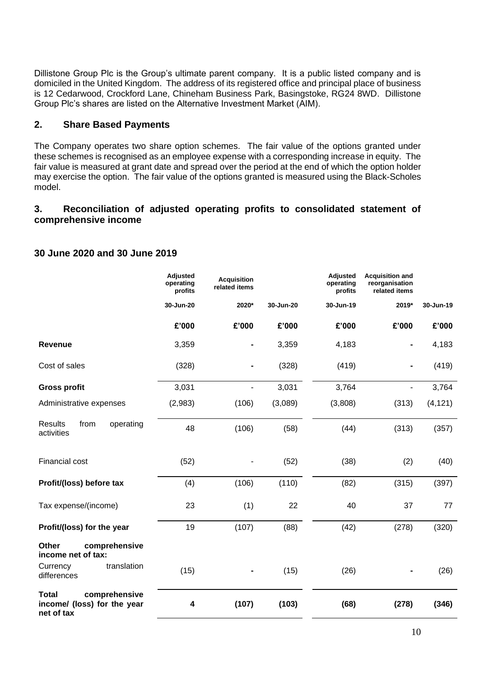Dillistone Group Plc is the Group's ultimate parent company. It is a public listed company and is domiciled in the United Kingdom. The address of its registered office and principal place of business is 12 Cedarwood, Crockford Lane, Chineham Business Park, Basingstoke, RG24 8WD. Dillistone Group Plc's shares are listed on the Alternative Investment Market (AIM).

## **2. Share Based Payments**

The Company operates two share option schemes. The fair value of the options granted under these schemes is recognised as an employee expense with a corresponding increase in equity. The fair value is measured at grant date and spread over the period at the end of which the option holder may exercise the option. The fair value of the options granted is measured using the Black-Scholes model.

## **3. Reconciliation of adjusted operating profits to consolidated statement of comprehensive income**

|                                                                            | <b>Adjusted</b><br>operating<br>profits | <b>Acquisition</b><br>related items |           | Adjusted<br>operating<br>profits | <b>Acquisition and</b><br>reorganisation<br>related items |           |
|----------------------------------------------------------------------------|-----------------------------------------|-------------------------------------|-----------|----------------------------------|-----------------------------------------------------------|-----------|
|                                                                            | 30-Jun-20                               | 2020*                               | 30-Jun-20 | 30-Jun-19                        | 2019*                                                     | 30-Jun-19 |
|                                                                            | £'000                                   | £'000                               | £'000     | £'000                            | £'000                                                     | £'000     |
| <b>Revenue</b>                                                             | 3,359                                   |                                     | 3,359     | 4,183                            |                                                           | 4,183     |
| Cost of sales                                                              | (328)                                   |                                     | (328)     | (419)                            |                                                           | (419)     |
| <b>Gross profit</b>                                                        | 3,031                                   | ä,                                  | 3,031     | 3,764                            |                                                           | 3,764     |
| Administrative expenses                                                    | (2,983)                                 | (106)                               | (3,089)   | (3,808)                          | (313)                                                     | (4, 121)  |
| <b>Results</b><br>from<br>operating<br>activities                          | 48                                      | (106)                               | (58)      | (44)                             | (313)                                                     | (357)     |
| Financial cost                                                             | (52)                                    |                                     | (52)      | (38)                             | (2)                                                       | (40)      |
| Profit/(loss) before tax                                                   | (4)                                     | (106)                               | (110)     | (82)                             | (315)                                                     | (397)     |
| Tax expense/(income)                                                       | 23                                      | (1)                                 | 22        | 40                               | 37                                                        | 77        |
| Profit/(loss) for the year                                                 | 19                                      | (107)                               | (88)      | (42)                             | (278)                                                     | (320)     |
| Other<br>comprehensive<br>income net of tax:                               |                                         |                                     |           |                                  |                                                           |           |
| translation<br>Currency<br>differences                                     | (15)                                    |                                     | (15)      | (26)                             |                                                           | (26)      |
| <b>Total</b><br>comprehensive<br>income/ (loss) for the year<br>net of tax | 4                                       | (107)                               | (103)     | (68)                             | (278)                                                     | (346)     |

#### **30 June 2020 and 30 June 2019**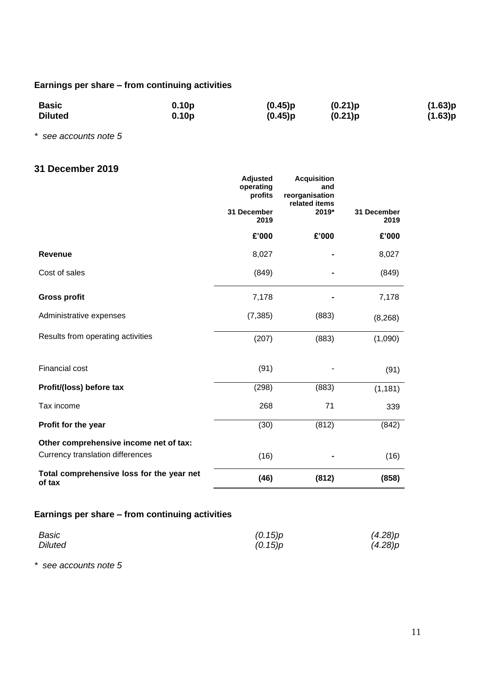# **Earnings per share – from continuing activities**

| <b>Basic</b>   | 0.10 <sub>p</sub> | (0.45)p | (0.21)p | (1.63)p |
|----------------|-------------------|---------|---------|---------|
| <b>Diluted</b> | 0.10 <sub>p</sub> | (0.45)p | (0.21)p | (1.63)p |

*\* see accounts note 5*

## **31 December 2019**

|                                                     | Adjusted<br>operating<br>profits | <b>Acquisition</b><br>and<br>reorganisation |                     |
|-----------------------------------------------------|----------------------------------|---------------------------------------------|---------------------|
|                                                     | 31 December<br>2019              | related items<br>2019*                      | 31 December<br>2019 |
|                                                     | £'000                            | £'000                                       | £'000               |
| <b>Revenue</b>                                      | 8,027                            |                                             | 8,027               |
| Cost of sales                                       | (849)                            |                                             | (849)               |
| <b>Gross profit</b>                                 | 7,178                            |                                             | 7,178               |
| Administrative expenses                             | (7, 385)                         | (883)                                       | (8, 268)            |
| Results from operating activities                   | (207)                            | (883)                                       | (1,090)             |
| <b>Financial cost</b>                               | (91)                             |                                             | (91)                |
| Profit/(loss) before tax                            | (298)                            | (883)                                       | (1, 181)            |
| Tax income                                          | 268                              | 71                                          | 339                 |
| Profit for the year                                 | (30)                             | (812)                                       | (842)               |
| Other comprehensive income net of tax:              |                                  |                                             |                     |
| Currency translation differences                    | (16)                             |                                             | (16)                |
| Total comprehensive loss for the year net<br>of tax | (46)                             | (812)                                       | (858)               |

## **Earnings per share – from continuing activities**

| Basic          | (0.15)p | (4.28)p |
|----------------|---------|---------|
| <b>Diluted</b> | (0.15)p | (4.28)p |

*\* see accounts note 5*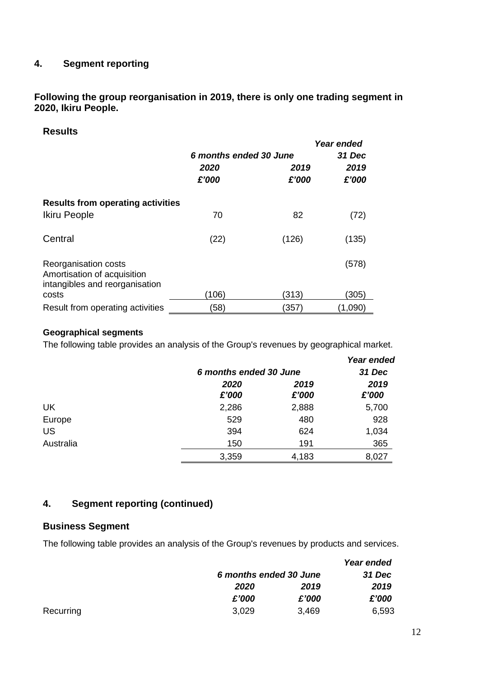## **4. Segment reporting**

**Following the group reorganisation in 2019, there is only one trading segment in 2020, Ikiru People.**

## **Results**

|                                                                                       |                        |       | Year ended |
|---------------------------------------------------------------------------------------|------------------------|-------|------------|
|                                                                                       | 6 months ended 30 June |       | 31 Dec     |
|                                                                                       | 2020<br>2019           |       | 2019       |
|                                                                                       | £'000                  | £'000 | £'000      |
| <b>Results from operating activities</b>                                              |                        |       |            |
| Ikiru People                                                                          | 70                     | 82    | (72)       |
| Central                                                                               | (22)                   | (126) | (135)      |
|                                                                                       |                        |       |            |
| Reorganisation costs<br>Amortisation of acquisition<br>intangibles and reorganisation |                        |       | (578)      |
| costs                                                                                 | (106)                  | (313) | (305)      |
| Result from operating activities                                                      | (58)                   | (357) | (1,090)    |

#### **Geographical segments**

The following table provides an analysis of the Group's revenues by geographical market.

|           |       |                        | Year ended |  |
|-----------|-------|------------------------|------------|--|
|           |       | 6 months ended 30 June |            |  |
|           | 2020  | 2019                   | 2019       |  |
|           | £'000 | £'000                  | £'000      |  |
| UK        | 2,286 | 2,888                  | 5,700      |  |
| Europe    | 529   | 480                    | 928        |  |
| <b>US</b> | 394   | 624                    | 1,034      |  |
| Australia | 150   | 191                    | 365        |  |
|           | 3,359 | 4,183                  | 8,027      |  |

## **4. Segment reporting (continued)**

#### **Business Segment**

The following table provides an analysis of the Group's revenues by products and services.

|           |                        |       | Year ended    |
|-----------|------------------------|-------|---------------|
|           | 6 months ended 30 June |       | <b>31 Dec</b> |
|           | 2020                   | 2019  | 2019          |
|           | £'000                  | £'000 | £'000         |
| Recurring | 3,029                  | 3,469 | 6,593         |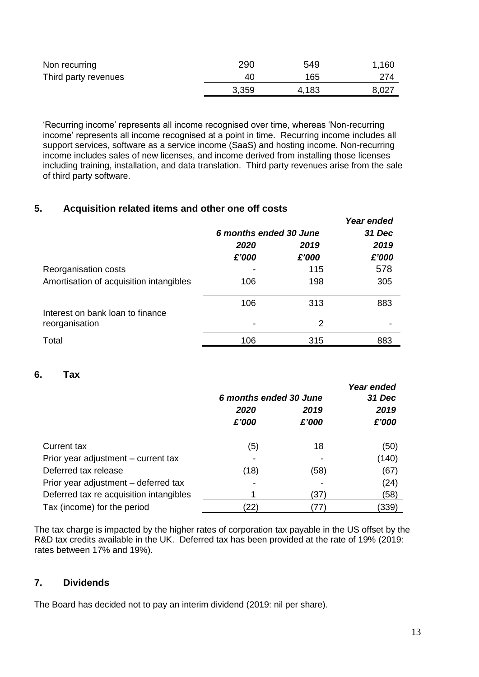| Non recurring        | 290   | 549   | 1,160 |
|----------------------|-------|-------|-------|
| Third party revenues | 40    | 165   | 274   |
|                      | 3,359 | 4,183 | 8,027 |

'Recurring income' represents all income recognised over time, whereas 'Non-recurring income' represents all income recognised at a point in time. Recurring income includes all support services, software as a service income (SaaS) and hosting income. Non-recurring income includes sales of new licenses, and income derived from installing those licenses including training, installation, and data translation. Third party revenues arise from the sale of third party software.

# **5. Acquisition related items and other one off costs**

|                                                    |                        |       | Year ended |
|----------------------------------------------------|------------------------|-------|------------|
|                                                    | 6 months ended 30 June |       | 31 Dec     |
|                                                    | 2020                   | 2019  | 2019       |
|                                                    | £'000                  | £'000 | £'000      |
| Reorganisation costs                               |                        | 115   | 578        |
| Amortisation of acquisition intangibles            | 106                    | 198   | 305        |
|                                                    | 106                    | 313   | 883        |
| Interest on bank loan to finance<br>reorganisation | -                      | 2     |            |
| Total                                              | 106                    | 315   | 883        |

# **6. Tax**

|                                         | 6 months ended 30 June |               | Year ended<br>31 Dec |
|-----------------------------------------|------------------------|---------------|----------------------|
|                                         | 2020<br>£'000          | 2019<br>£'000 | 2019<br>£'000        |
| <b>Current tax</b>                      | (5)                    | 18            | (50)                 |
| Prior year adjustment – current tax     |                        |               | (140)                |
| Deferred tax release                    | (18)                   | (58)          | (67)                 |
| Prior year adjustment – deferred tax    |                        |               | (24)                 |
| Deferred tax re acquisition intangibles |                        | (37)          | (58)                 |
| Tax (income) for the period             | (22)                   | 77            | (339)                |

The tax charge is impacted by the higher rates of corporation tax payable in the US offset by the R&D tax credits available in the UK. Deferred tax has been provided at the rate of 19% (2019: rates between 17% and 19%).

## **7. Dividends**

The Board has decided not to pay an interim dividend (2019: nil per share).